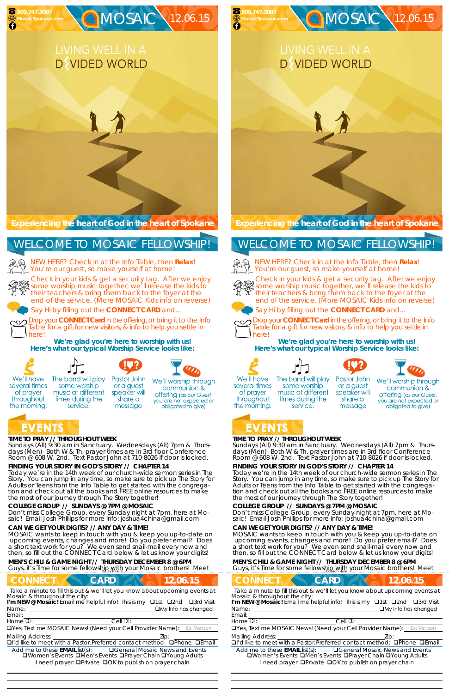#### **TIME TO PRAY // THROUGHOUT WEEK**

*Sundays* (All) 9:30 am in Sanctuary. *Wednesdays* (All) 7pm & *Thursdays* (Men)- Both W & Th. prayer times are in 3rd floor Conference Room @ 608 W. 2nd. Text Pastor John at 710-8026 if door is locked.

#### **FINDING YOUR STORY IN GOD'S STORY // CHAPTER 14**

Today we're in the 14th week of our church-wide sermon series in The Story. You can jump in any time, so make sure to pick up The Story for Adults or Teens from the Info Table to get started with the congregation and check out all the books and FREE online resources to make the most of our journey through The Story together!

NEW HERE? Check in at the Info Table, then **Relax**! You're our guest, so make yourself at home!

**COLLEGE GROUP // SUNDAYS @ 7PM @ MOSAIC**  Don't miss College Group, every Sunday night at 7pm, here at Mosaic! Email Josh Phillips for more info: joshua4china@gmail.com

#### **CAN WE GET YOUR DIGITS? // ANY DAY & TIME!**

MOSAIC wants to keep in touch with you & keep you up-to-date on upcoming events, changes and more! Do you prefer email? Does a short text work for you? We even send snail-mail every now and then, so fill out the CONNECT Card below & let us know your digits!

Name: **I'm NEW @ Mosaic!** Email me helpful info! This is my **Q1st Q2nd Q3rd Visit** 

#### **MEN'S CHILI & GAME NIGHT // THURSDAY DECEMBER 8 @ 6PM**

Guys, it's Time for some fellowship with your Mosaic brothers! Meet

### **CONNECT CARD 12.06.15**

**Experiencing the heart of God in the heart of Spokane** 

Check in your kids & get a security tag. After we enjoy Streck in your kids & get a security tag. After we enjoy<br>Some worship music together, we'll release the kids to their teachers & bring them back to the foyer at the end of the service. (More MOSAIC Kids info on reverse)



# **D** VIDED WORLD

Say Hi by filling out the **CONNECT CARD** and...

Drop your **CONNECT Card** in the offering, or bring it to the Info Table for a gift for new visitors, & info to help you settle in here!

**We're glad you're here to worship with us! Here's what our typical Worship Service looks like:** 



of prayer

throughout

the morning.

times during the

service.



The band will play Pastor John some worship music at different

or a guest speaker will share a message

We'll worship through communion & offering (as our Guest, you are not expected or obligated to give)

### EVENTS

NEW HERE? Check in at the Info Table, then **Relax**! You're our guest, so make yourself at home!



### WELCOME TO MOSAIC FELLOWSHIP!

Email:

Drop your **CONNECT Card** in the offering, or bring it to the Info Table for a gift for new visitors, & info to help you settle in herel

*Take a minute to fill this out & we'll let you know about upcoming events at Mosaic & throughout the city:* 

 

 $H$ ome  $\mathbb{D}$ :  $\qquad \qquad$  Cell  $\mathbb{D}$ :

UYes, Text me MOSAIC News! (Need your Cell Provider Name):

Mailing Address:  $\qquad \qquad$  Zip:

 $\Box$ I'd like to meet with a Pastor. Preferred contact method:  $\Box$ Phone  $\Box$ Email

Add me to these **EMAIL** list(s): General Mosaic News and Events **QWomen's Events QMen's Events QPrayer Chain QYoung Adults** I need prayer: **QPrivate QOK to publish on prayer chain** 

#### **TIME TO PRAY // THROUGHOUT WEEK**

*Sundays* (All) 9:30 am in Sanctuary. *Wednesdays* (All) 7pm & *Thursdays* (Men)- Both W & Th. prayer times are in 3rd floor Conference Room @ 608 W. 2nd. Text Pastor John at 710-8026 if door is locked.

#### **FINDING YOUR STORY IN GOD'S STORY // CHAPTER 14**

some worship

music at different

times during the

service.

Today we're in the 14th week of our church-wide sermon series in The Story. You can jump in any time, so make sure to pick up The Story for Adults or Teens from the Info Table to get started with the congregation and check out all the books and FREE online resources to make the most of our journey through The Story together!

#### **COLLEGE GROUP // SUNDAYS @ 7PM @ MOSAIC**

Don't miss College Group, every Sunday night at 7pm, here at Mosaic! Email Josh Phillips for more info: joshua4china@gmail.com

#### **CAN WE GET YOUR DIGITS? // ANY DAY & TIME!**

MOSAIC wants to keep in touch with you & keep you up-to-date on upcoming events, changes and more! Do you prefer email? Does a short text work for you? We even send snail-mail every now and then, so fill out the CONNECT Card below & let us know your digits!

#### **MEN'S CHILI & GAME NIGHT // THURSDAY DECEMBER 8 @ 6PM**

Guys, it's Time for some fellowship with your Mosaic brothers! Meet

**CONNECT CARD 12.06.15** *Take a minute to fill this out & we'll let you know about upcoming events at* Name: Email: Home  $\mathbb{D}$ :  $\qquad \qquad$  Cell  $\mathbb{D}$ : UYes, Text me MOSAIC News! (Need your Cell Provider Name): Mailing Address:  **Zip:** Zip: 2014  $\Box$ I'd like to meet with a Pastor. Preferred contact method:  $\Box$ Phone  $\Box$ Email Add me to these **EMAIL** list(s): General Mosaic News and Events **QWomen's Events QMen's Events QPrayer Chain QYoung Adults** I need prayer: **QPrivate QOK to publish on prayer chain** *Mosaic & throughout the city:*  **I'm NEW @ Mosaic!** Email me helpful info! This is my □1st □2nd □3rd Visit

**Experiencing the heart of God in the heart of Spokane** 

**DWIDED WORLD** 

MOSAIC 12.06.15

Check in your kids & get a security tag. After we enjoy some worship music together, we'll release the kids to their teachers & bring them back to the foyer at the end of the service. (More MOSAIC Kids info on reverse)



Say Hi by filling out the **CONNECT CARD** and...



**We're glad you're here to worship with us! Here's what our typical Worship Service looks like:** 



several times

of prayer

throughout

the morning.





or a guest

speaker will

share a

message



We'll worship through communion &

offering (as our Guest, you are not expected or obligated to give)

### EVENTS

 **509.747.3007** 

**MosaicSpokane.com** 

### WELCOME TO MOSAIC FELLOWSHIP!